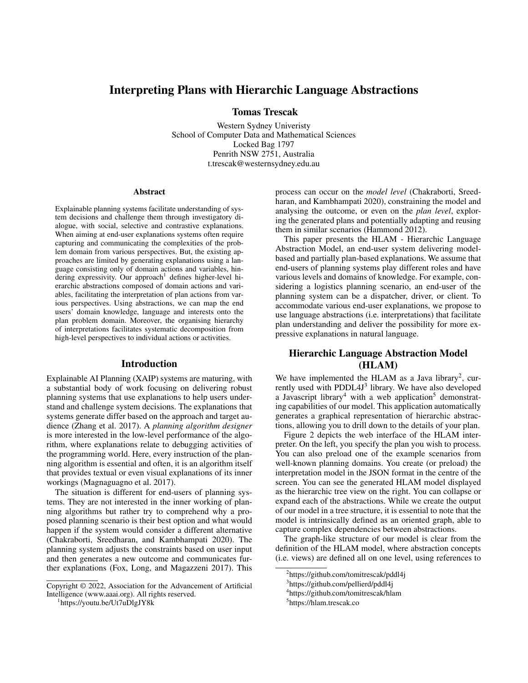# Interpreting Plans with Hierarchic Language Abstractions

Tomas Trescak

Western Sydney Univeristy School of Computer Data and Mathematical Sciences Locked Bag 1797 Penrith NSW 2751, Australia t.trescak@westernsydney.edu.au

#### Abstract

Explainable planning systems facilitate understanding of system decisions and challenge them through investigatory dialogue, with social, selective and contrastive explanations. When aiming at end-user explanations systems often require capturing and communicating the complexities of the problem domain from various perspectives. But, the existing approaches are limited by generating explanations using a language consisting only of domain actions and variables, hindering expressivity. Our approach<sup>1</sup> defines higher-level hierarchic abstractions composed of domain actions and variables, facilitating the interpretation of plan actions from various perspectives. Using abstractions, we can map the end users' domain knowledge, language and interests onto the plan problem domain. Moreover, the organising hierarchy of interpretations facilitates systematic decomposition from high-level perspectives to individual actions or activities.

### Introduction

Explainable AI Planning (XAIP) systems are maturing, with a substantial body of work focusing on delivering robust planning systems that use explanations to help users understand and challenge system decisions. The explanations that systems generate differ based on the approach and target audience (Zhang et al. 2017). A *planning algorithm designer* is more interested in the low-level performance of the algorithm, where explanations relate to debugging activities of the programming world. Here, every instruction of the planning algorithm is essential and often, it is an algorithm itself that provides textual or even visual explanations of its inner workings (Magnaguagno et al. 2017).

The situation is different for end-users of planning systems. They are not interested in the inner working of planning algorithms but rather try to comprehend why a proposed planning scenario is their best option and what would happen if the system would consider a different alternative (Chakraborti, Sreedharan, and Kambhampati 2020). The planning system adjusts the constraints based on user input and then generates a new outcome and communicates further explanations (Fox, Long, and Magazzeni 2017). This

process can occur on the *model level* (Chakraborti, Sreedharan, and Kambhampati 2020), constraining the model and analysing the outcome, or even on the *plan level*, exploring the generated plans and potentially adapting and reusing them in similar scenarios (Hammond 2012).

This paper presents the HLAM - Hierarchic Language Abstraction Model, an end-user system delivering modelbased and partially plan-based explanations. We assume that end-users of planning systems play different roles and have various levels and domains of knowledge. For example, considering a logistics planning scenario, an end-user of the planning system can be a dispatcher, driver, or client. To accommodate various end-user explanations, we propose to use language abstractions (i.e. interpretations) that facilitate plan understanding and deliver the possibility for more expressive explanations in natural language.

# Hierarchic Language Abstraction Model (HLAM)

We have implemented the HLAM as a Java library<sup>2</sup>, currently used with PDDL4J<sup>3</sup> library. We have also developed a Javascript library<sup>4</sup> with a web application<sup>5</sup> demonstrating capabilities of our model. This application automatically generates a graphical representation of hierarchic abstractions, allowing you to drill down to the details of your plan.

Figure 2 depicts the web interface of the HLAM interpreter. On the left, you specify the plan you wish to process. You can also preload one of the example scenarios from well-known planning domains. You create (or preload) the interpretation model in the JSON format in the centre of the screen. You can see the generated HLAM model displayed as the hierarchic tree view on the right. You can collapse or expand each of the abstractions. While we create the output of our model in a tree structure, it is essential to note that the model is intrinsically defined as an oriented graph, able to capture complex dependencies between abstractions.

The graph-like structure of our model is clear from the definition of the HLAM model, where abstraction concepts (i.e. views) are defined all on one level, using references to

Copyright © 2022, Association for the Advancement of Artificial Intelligence (www.aaai.org). All rights reserved.

<sup>1</sup> https://youtu.be/Ut7uDlgJY8k

<sup>&</sup>lt;sup>2</sup>https://github.com/tomitrescak/pddl4j

<sup>3</sup> https://github.com/pellierd/pddl4j

<sup>4</sup> https://github.com/tomitrescak/hlam

<sup>5</sup> https://hlam.trescak.co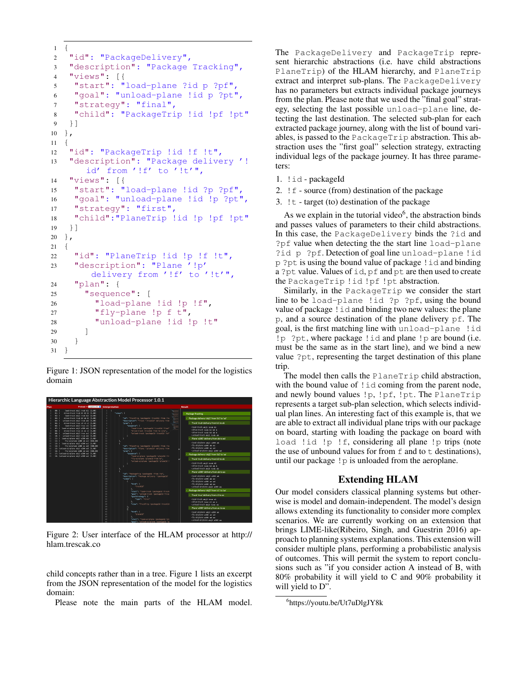```
1 {
2 "id": "PackageDelivery",
3 "description": "Package Tracking",
4 "views": [{
5 "start": "load-plane ?id p ?pf",
6 "goal": "unload-plane !id p ?pt",
7 "strategy": "final",
8 "child": "PackageTrip !id !pf !pt"
9 }]
10 },
11 {
12 "id": "PackageTrip !id !f !t",
13 "description": "Package delivery '!
      id' from '!f' to '!t'",
14 "views": [{
15 "start": "load-plane !id ?p ?pf",
16 "goal": "unload-plane !id !p ?pt",
17 "strategy": "first",
18 "child":"PlaneTrip !id !p !pf !pt"
19 }]
20 },
21 \quad \{22 "id": "PlaneTrip !id !p !f !t",
23 "description": "Plane '!p'
       delivery from '!f' to '!t'",
24 "plan": {
25 "sequence": [
26 "load-plane !id !p !f",
27 "fly-plane !p f t",
28 "unload-plane !id !p !t"
29 ]
30 }
31 }
```
Figure 1: JSON representation of the model for the logistics domain



Figure 2: User interface of the HLAM processor at http:// hlam.trescak.co

child concepts rather than in a tree. Figure 1 lists an excerpt from the JSON representation of the model for the logistics domain:

Please note the main parts of the HLAM model.

The PackageDelivery and PackageTrip represent hierarchic abstractions (i.e. have child abstractions PlaneTrip) of the HLAM hierarchy, and PlaneTrip extract and interpret sub-plans. The PackageDelivery has no parameters but extracts individual package journeys from the plan. Please note that we used the "final goal" strategy, selecting the last possible unload-plane line, detecting the last destination. The selected sub-plan for each extracted package journey, along with the list of bound variables, is passed to the PackageTrip abstraction. This abstraction uses the "first goal" selection strategy, extracting individual legs of the package journey. It has three parameters:

- 1. !id packageId
- 2. !f source (from) destination of the package
- 3. !t target (to) destination of the package

As we explain in the tutorial video<sup>6</sup>, the abstraction binds and passes values of parameters to their child abstractions. In this case, the PackageDelivery binds the ?id and ?pf value when detecting the the start line load-plane ?id p ?pf. Detection of goal line unload-plane !id p ?pt is using the bound value of package !id and binding a ?pt value. Values of id, pf and pt are then used to create the PackageTrip !id !pf !pt abstraction.

Similarly, in the PackageTrip we consider the start line to be load-plane !id ?p ?pf, using the bound value of package !id and binding two new values: the plane p, and a source destination of the plane delivery pf. The goal, is the first matching line with unload-plane !id !p ?pt, where package !id and plane !p are bound (i.e. must be the same as in the start line), and we bind a new value ?pt, representing the target destination of this plane trip.

The model then calls the PlaneTrip child abstraction, with the bound value of ! id coming from the parent node, and newly bound values !p, !pf, !pt. The PlaneTrip represents a target sub-plan selection, which selects individual plan lines. An interesting fact of this example is, that we are able to extract all individual plane trips with our package on board, starting with loading the package on board with load !id !p !f, considering all plane !p trips (note the use of unbound values for from  $f$  and to  $t$  destinations), until our package !p is unloaded from the aeroplane.

### Extending HLAM

Our model considers classical planning systems but otherwise is model and domain-independent. The model's design allows extending its functionality to consider more complex scenarios. We are currently working on an extension that brings LIME-like(Ribeiro, Singh, and Guestrin 2016) approach to planning systems explanations. This extension will consider multiple plans, performing a probabilistic analysis of outcomes. This will permit the system to report conclusions such as "if you consider action A instead of B, with 80% probability it will yield to C and 90% probability it will yield to D".

<sup>6</sup> https://youtu.be/Ut7uDlgJY8k